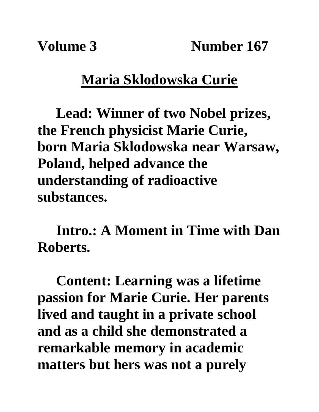**Volume 3** Number 167

## **Maria Sklodowska Curie**

**Lead: Winner of two Nobel prizes, the French physicist Marie Curie, born Maria Sklodowska near Warsaw, Poland, helped advance the understanding of radioactive substances.**

**Intro.: A Moment in Time with Dan Roberts.**

**Content: Learning was a lifetime passion for Marie Curie. Her parents lived and taught in a private school and as a child she demonstrated a remarkable memory in academic matters but hers was not a purely**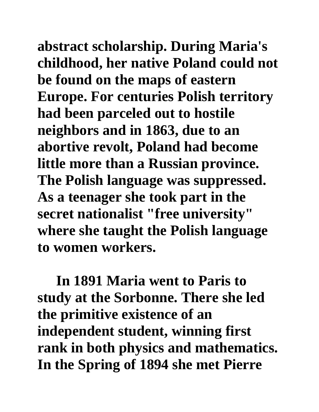**abstract scholarship. During Maria's childhood, her native Poland could not be found on the maps of eastern Europe. For centuries Polish territory had been parceled out to hostile neighbors and in 1863, due to an abortive revolt, Poland had become little more than a Russian province. The Polish language was suppressed. As a teenager she took part in the secret nationalist "free university" where she taught the Polish language to women workers.**

**In 1891 Maria went to Paris to study at the Sorbonne. There she led the primitive existence of an independent student, winning first rank in both physics and mathematics. In the Spring of 1894 she met Pierre**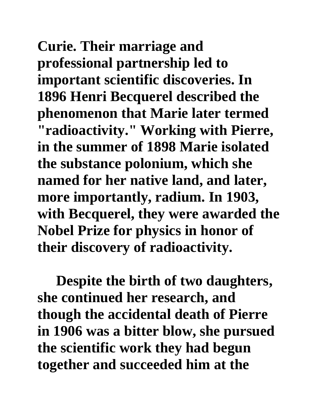**Curie. Their marriage and professional partnership led to important scientific discoveries. In 1896 Henri Becquerel described the phenomenon that Marie later termed "radioactivity. " Working with Pierre, in the summer of 1898 Marie isolated the substance polonium, which she named for her native land, and later, more importantly, radium. In 1903, with Becquerel, they were awarded the Nobel Prize for physics in honor of their discovery of radioactivity.** 

**Despite the birth of two daughters, she continued her research, and though the accidental death of Pierre in 1906 was a bitter blow, she pursued the scientific work they had begun together and succeeded him at the**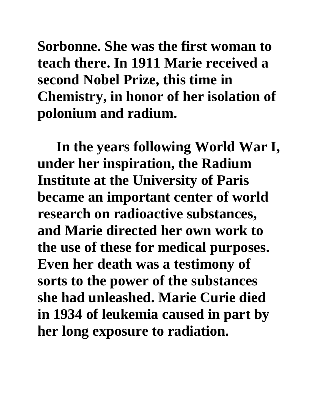**Sorbonne. She was the first woman to teach there. In 1911 Marie received a second Nobel Prize, this time in Chemistry, in honor of her isolation of polonium and radium.** 

**In the years following World War I, under her inspiration, the Radium Institute at the University of Paris became an important center of world research on radioactive substances, and Marie directed her own work to the use of these for medical purposes. Even her death was a testimony of sorts to the power of the substances she had unleashed. Marie Curie died in 1934 of leukemia caused in part by her long exposure to radiation.**